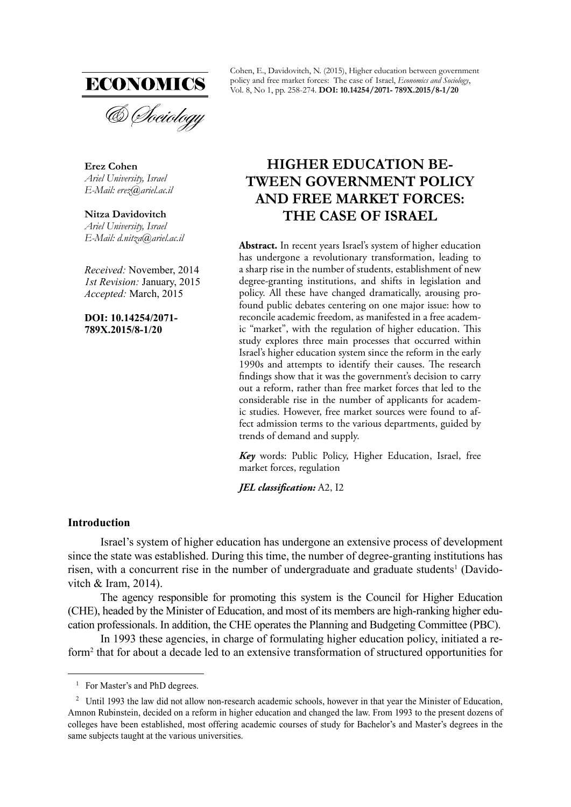

**Erez Cohen** *Ariel University, Israel E-Mail: erez@ariel.ac.il* 

**Nitza Davidovitch** *Ariel University, Israel E-Mail: d.nitza@ariel.ac.il*

*Received:* November, 2014 *1st Revision:* January, 2015 *Accepted:* March, 2015

**DOI: 10.14254/2071- 789X.2015/8-1/20**

Cohen, E., Davidovitch, N. (2015), Higher education between government policy and free market forces: The case of Israel, *Economics and Sociology*, Vol. 8, No 1, pp. 258-274. **DOI: 10.14254/2071- 789X.2015/8-1/20**

# **HIGHER EDUCATION BE-TWEEN GOVERNMENT POLICY AND FREE MARKET FORCES: THE CASE OF ISRAEL**

**Abstract.** In recent years Israel's system of higher education has undergone a revolutionary transformation, leading to a sharp rise in the number of students, establishment of new degree-granting institutions, and shifts in legislation and policy. All these have changed dramatically, arousing profound public debates centering on one major issue: how to reconcile academic freedom, as manifested in a free academic "market", with the regulation of higher education. This study explores three main processes that occurred within Israel's higher education system since the reform in the early 1990s and attempts to identify their causes. The research findings show that it was the government's decision to carry out a reform, rather than free market forces that led to the considerable rise in the number of applicants for academic studies. However, free market sources were found to affect admission terms to the various departments, guided by trends of demand and supply.

*Key* words: Public Policy, Higher Education, Israel, free market forces, regulation

*JEL classification: A2, I2* 

# **Introduction**

Israel's system of higher education has undergone an extensive process of development since the state was established. During this time, the number of degree-granting institutions has risen, with a concurrent rise in the number of undergraduate and graduate students<sup>1</sup> (Davidovitch & Iram, 2014).

The agency responsible for promoting this system is the Council for Higher Education (CHE), headed by the Minister of Education, and most of its members are high-ranking higher education professionals. In addition, the CHE operates the Planning and Budgeting Committee (PBC).

In 1993 these agencies, in charge of formulating higher education policy, initiated a reform<sup>2</sup> that for about a decade led to an extensive transformation of structured opportunities for

<sup>&</sup>lt;sup>1</sup> For Master's and PhD degrees.

<sup>&</sup>lt;sup>2</sup> Until 1993 the law did not allow non-research academic schools, however in that year the Minister of Education, Amnon Rubinstein, decided on a reform in higher education and changed the law. From 1993 to the present dozens of colleges have been established, most offering academic courses of study for Bachelor's and Master's degrees in the same subjects taught at the various universities.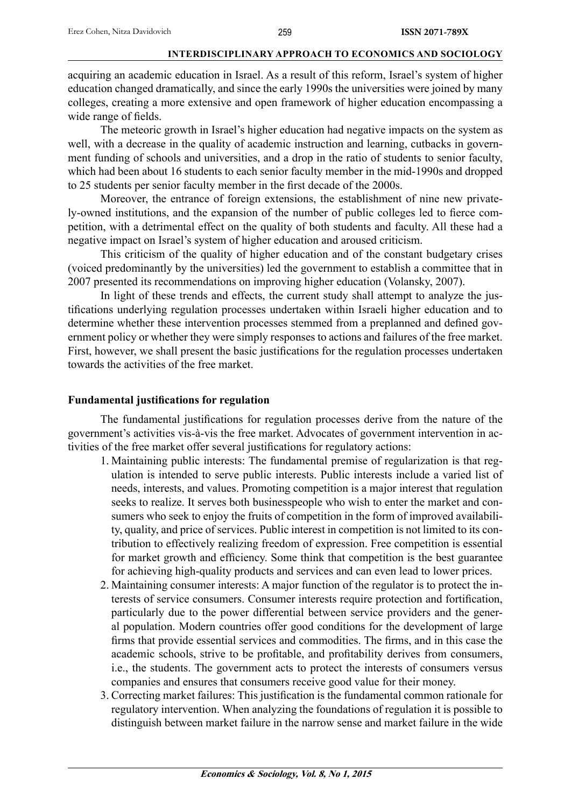acquiring an academic education in Israel. As a result of this reform, Israel's system of higher education changed dramatically, and since the early 1990s the universities were joined by many colleges, creating a more extensive and open framework of higher education encompassing a wide range of fields.

The meteoric growth in Israel's higher education had negative impacts on the system as well, with a decrease in the quality of academic instruction and learning, cutbacks in government funding of schools and universities, and a drop in the ratio of students to senior faculty, which had been about 16 students to each senior faculty member in the mid-1990s and dropped to 25 students per senior faculty member in the first decade of the 2000s.

Moreover, the entrance of foreign extensions, the establishment of nine new privately-owned institutions, and the expansion of the number of public colleges led to fierce competition, with a detrimental effect on the quality of both students and faculty. All these had a negative impact on Israel's system of higher education and aroused criticism.

This criticism of the quality of higher education and of the constant budgetary crises (voiced predominantly by the universities) led the government to establish a committee that in 2007 presented its recommendations on improving higher education (Volansky, 2007).

In light of these trends and effects, the current study shall attempt to analyze the justifications underlying regulation processes undertaken within Israeli higher education and to determine whether these intervention processes stemmed from a preplanned and defined government policy or whether they were simply responses to actions and failures of the free market. First, however, we shall present the basic justifications for the regulation processes undertaken towards the activities of the free market.

# **Fundamental justifications for regulation**

The fundamental justifications for regulation processes derive from the nature of the government's activities vis-à-vis the free market. Advocates of government intervention in activities of the free market offer several justifications for regulatory actions:

- 1. Maintaining public interests: The fundamental premise of regularization is that regulation is intended to serve public interests. Public interests include a varied list of needs, interests, and values. Promoting competition is a major interest that regulation seeks to realize. It serves both businesspeople who wish to enter the market and consumers who seek to enjoy the fruits of competition in the form of improved availability, quality, and price of services. Public interest in competition is not limited to its contribution to effectively realizing freedom of expression. Free competition is essential for market growth and efficiency. Some think that competition is the best guarantee for achieving high-quality products and services and can even lead to lower prices.
- 2. Maintaining consumer interests: A major function of the regulator is to protect the interests of service consumers. Consumer interests require protection and fortification, particularly due to the power differential between service providers and the general population. Modern countries offer good conditions for the development of large firms that provide essential services and commodities. The firms, and in this case the academic schools, strive to be profitable, and profitability derives from consumers, i.e., the students. The government acts to protect the interests of consumers versus companies and ensures that consumers receive good value for their money.
- 3. Correcting market failures: This justification is the fundamental common rationale for regulatory intervention. When analyzing the foundations of regulation it is possible to distinguish between market failure in the narrow sense and market failure in the wide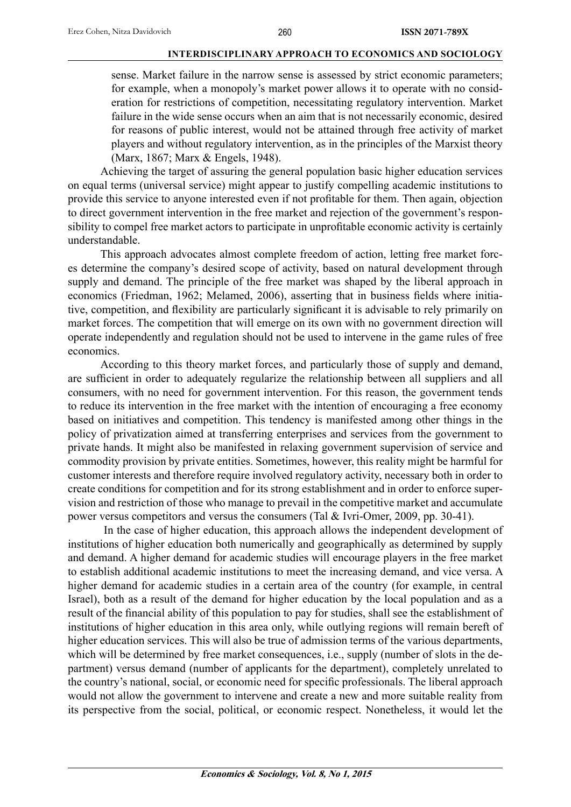sense. Market failure in the narrow sense is assessed by strict economic parameters; for example, when a monopoly's market power allows it to operate with no consideration for restrictions of competition, necessitating regulatory intervention. Market failure in the wide sense occurs when an aim that is not necessarily economic, desired for reasons of public interest, would not be attained through free activity of market players and without regulatory intervention, as in the principles of the Marxist theory (Marx, 1867; Marx & Engels, 1948).

Achieving the target of assuring the general population basic higher education services on equal terms (universal service) might appear to justify compelling academic institutions to provide this service to anyone interested even if not profitable for them. Then again, objection to direct government intervention in the free market and rejection of the government's responsibility to compel free market actors to participate in unprofitable economic activity is certainly understandable.

This approach advocates almost complete freedom of action, letting free market forces determine the company's desired scope of activity, based on natural development through supply and demand. The principle of the free market was shaped by the liberal approach in economics (Friedman, 1962; Melamed, 2006), asserting that in business fields where initiative, competition, and flexibility are particularly significant it is advisable to rely primarily on market forces. The competition that will emerge on its own with no government direction will operate independently and regulation should not be used to intervene in the game rules of free economics.

According to this theory market forces, and particularly those of supply and demand, are sufficient in order to adequately regularize the relationship between all suppliers and all consumers, with no need for government intervention. For this reason, the government tends to reduce its intervention in the free market with the intention of encouraging a free economy based on initiatives and competition. This tendency is manifested among other things in the policy of privatization aimed at transferring enterprises and services from the government to private hands. It might also be manifested in relaxing government supervision of service and commodity provision by private entities. Sometimes, however, this reality might be harmful for customer interests and therefore require involved regulatory activity, necessary both in order to create conditions for competition and for its strong establishment and in order to enforce supervision and restriction of those who manage to prevail in the competitive market and accumulate power versus competitors and versus the consumers (Tal & Ivri-Omer, 2009, pp. 30-41).

 In the case of higher education, this approach allows the independent development of institutions of higher education both numerically and geographically as determined by supply and demand. A higher demand for academic studies will encourage players in the free market to establish additional academic institutions to meet the increasing demand, and vice versa. A higher demand for academic studies in a certain area of the country (for example, in central Israel), both as a result of the demand for higher education by the local population and as a result of the financial ability of this population to pay for studies, shall see the establishment of institutions of higher education in this area only, while outlying regions will remain bereft of higher education services. This will also be true of admission terms of the various departments, which will be determined by free market consequences, i.e., supply (number of slots in the department) versus demand (number of applicants for the department), completely unrelated to the country's national, social, or economic need for specific professionals. The liberal approach would not allow the government to intervene and create a new and more suitable reality from its perspective from the social, political, or economic respect. Nonetheless, it would let the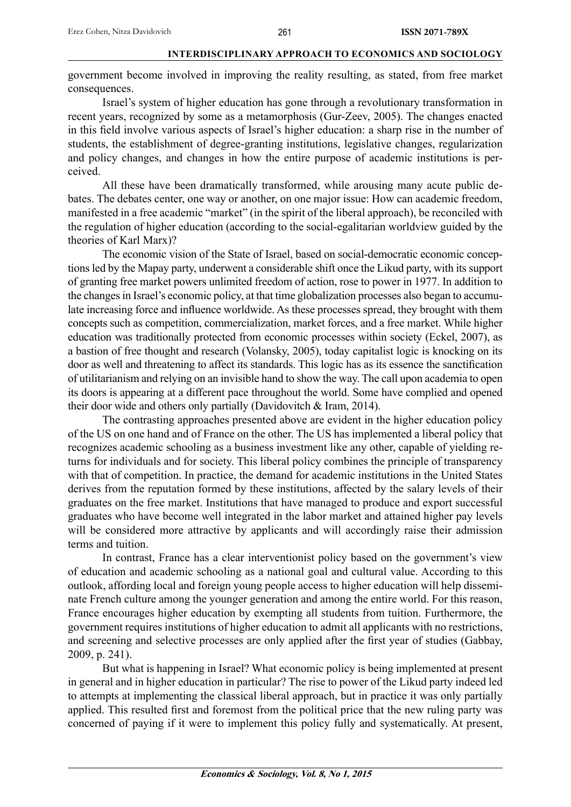government become involved in improving the reality resulting, as stated, from free market consequences.

 Israel's system of higher education has gone through a revolutionary transformation in recent years, recognized by some as a metamorphosis (Gur-Zeev, 2005). The changes enacted in this field involve various aspects of Israel's higher education: a sharp rise in the number of students, the establishment of degree-granting institutions, legislative changes, regularization and policy changes, and changes in how the entire purpose of academic institutions is perceived.

 All these have been dramatically transformed, while arousing many acute public debates. The debates center, one way or another, on one major issue: How can academic freedom, manifested in a free academic "market" (in the spirit of the liberal approach), be reconciled with the regulation of higher education (according to the social-egalitarian worldview guided by the theories of Karl Marx)?

 The economic vision of the State of Israel, based on social-democratic economic conceptions led by the Mapay party, underwent a considerable shift once the Likud party, with its support of granting free market powers unlimited freedom of action, rose to power in 1977. In addition to the changes in Israel's economic policy, at that time globalization processes also began to accumulate increasing force and influence worldwide. As these processes spread, they brought with them concepts such as competition, commercialization, market forces, and a free market. While higher education was traditionally protected from economic processes within society (Eckel, 2007), as a bastion of free thought and research (Volansky, 2005), today capitalist logic is knocking on its door as well and threatening to affect its standards. This logic has as its essence the sanctification of utilitarianism and relying on an invisible hand to show the way. The call upon academia to open its doors is appearing at a different pace throughout the world. Some have complied and opened their door wide and others only partially (Davidovitch & Iram, 2014).

 The contrasting approaches presented above are evident in the higher education policy of the US on one hand and of France on the other. The US has implemented a liberal policy that recognizes academic schooling as a business investment like any other, capable of yielding returns for individuals and for society. This liberal policy combines the principle of transparency with that of competition. In practice, the demand for academic institutions in the United States derives from the reputation formed by these institutions, affected by the salary levels of their graduates on the free market. Institutions that have managed to produce and export successful graduates who have become well integrated in the labor market and attained higher pay levels will be considered more attractive by applicants and will accordingly raise their admission terms and tuition.

 In contrast, France has a clear interventionist policy based on the government's view of education and academic schooling as a national goal and cultural value. According to this outlook, affording local and foreign young people access to higher education will help disseminate French culture among the younger generation and among the entire world. For this reason, France encourages higher education by exempting all students from tuition. Furthermore, the government requires institutions of higher education to admit all applicants with no restrictions, and screening and selective processes are only applied after the first year of studies (Gabbay, 2009, p. 241).

 But what is happening in Israel? What economic policy is being implemented at present in general and in higher education in particular? The rise to power of the Likud party indeed led to attempts at implementing the classical liberal approach, but in practice it was only partially applied. This resulted first and foremost from the political price that the new ruling party was concerned of paying if it were to implement this policy fully and systematically. At present,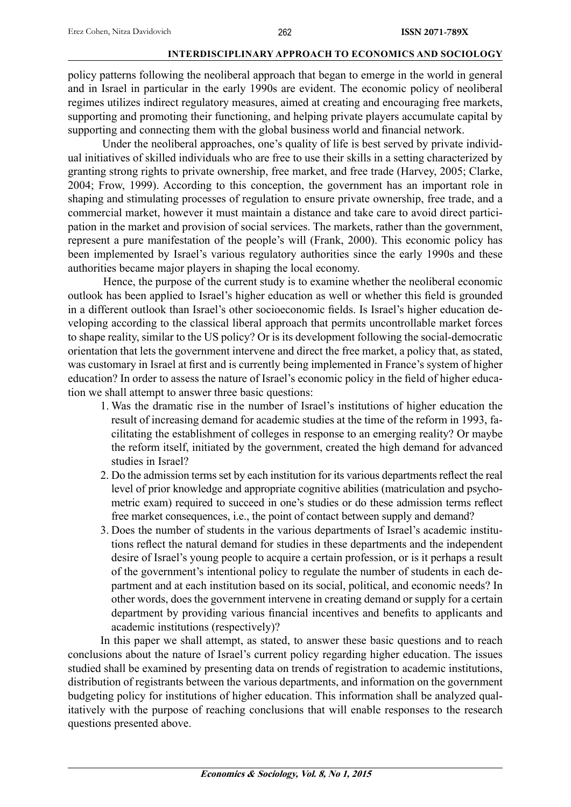policy patterns following the neoliberal approach that began to emerge in the world in general and in Israel in particular in the early 1990s are evident. The economic policy of neoliberal regimes utilizes indirect regulatory measures, aimed at creating and encouraging free markets, supporting and promoting their functioning, and helping private players accumulate capital by supporting and connecting them with the global business world and financial network.

 Under the neoliberal approaches, one's quality of life is best served by private individual initiatives of skilled individuals who are free to use their skills in a setting characterized by granting strong rights to private ownership, free market, and free trade (Harvey, 2005; Clarke, 2004; Frow, 1999). According to this conception, the government has an important role in shaping and stimulating processes of regulation to ensure private ownership, free trade, and a commercial market, however it must maintain a distance and take care to avoid direct participation in the market and provision of social services. The markets, rather than the government, represent a pure manifestation of the people's will (Frank, 2000). This economic policy has been implemented by Israel's various regulatory authorities since the early 1990s and these authorities became major players in shaping the local economy.

 Hence, the purpose of the current study is to examine whether the neoliberal economic outlook has been applied to Israel's higher education as well or whether this field is grounded in a different outlook than Israel's other socioeconomic fields. Is Israel's higher education developing according to the classical liberal approach that permits uncontrollable market forces to shape reality, similar to the US policy? Or is its development following the social-democratic orientation that lets the government intervene and direct the free market, a policy that, as stated, was customary in Israel at first and is currently being implemented in France's system of higher education? In order to assess the nature of Israel's economic policy in the field of higher education we shall attempt to answer three basic questions:

- 1. Was the dramatic rise in the number of Israel's institutions of higher education the result of increasing demand for academic studies at the time of the reform in 1993, facilitating the establishment of colleges in response to an emerging reality? Or maybe the reform itself, initiated by the government, created the high demand for advanced studies in Israel?
- 2. Do the admission terms set by each institution for its various departments reflect the real level of prior knowledge and appropriate cognitive abilities (matriculation and psychometric exam) required to succeed in one's studies or do these admission terms reflect free market consequences, i.e., the point of contact between supply and demand?
- 3. Does the number of students in the various departments of Israel's academic institutions reflect the natural demand for studies in these departments and the independent desire of Israel's young people to acquire a certain profession, or is it perhaps a result of the government's intentional policy to regulate the number of students in each department and at each institution based on its social, political, and economic needs? In other words, does the government intervene in creating demand or supply for a certain department by providing various financial incentives and benefits to applicants and academic institutions (respectively)?

In this paper we shall attempt, as stated, to answer these basic questions and to reach conclusions about the nature of Israel's current policy regarding higher education. The issues studied shall be examined by presenting data on trends of registration to academic institutions, distribution of registrants between the various departments, and information on the government budgeting policy for institutions of higher education. This information shall be analyzed qualitatively with the purpose of reaching conclusions that will enable responses to the research questions presented above.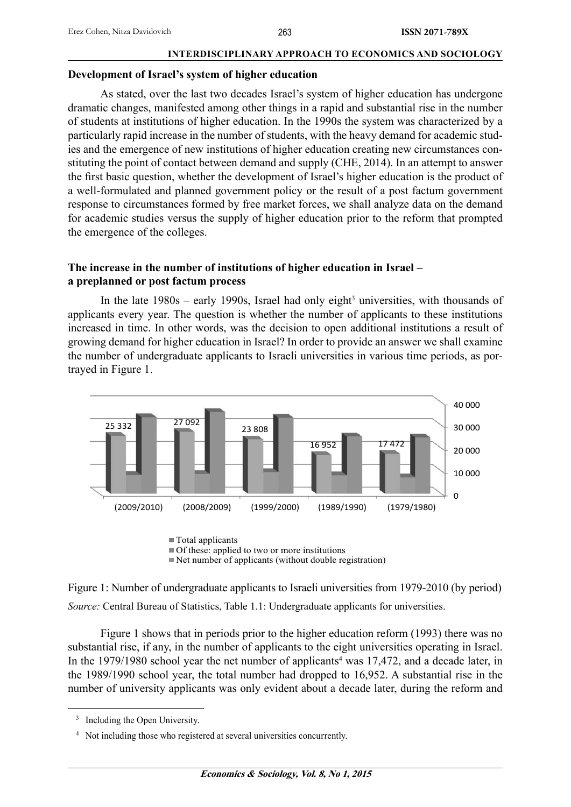#### **Development of Israel's system of higher education**

As stated, over the last two decades Israel's system of higher education has undergone dramatic changes, manifested among other things in a rapid and substantial rise in the number of students at institutions of higher education. In the 1990s the system was characterized by a particularly rapid increase in the number of students, with the heavy demand for academic studies and the emergence of new institutions of higher education creating new circumstances constituting the point of contact between demand and supply (CHE, 2014). In an attempt to answer the first basic question, whether the development of Israel's higher education is the product of a well-formulated and planned government policy or the result of a post factum government response to circumstances formed by free market forces, we shall analyze data on the demand for academic studies versus the supply of higher education prior to the reform that prompted the emergence of the colleges.

# **The increase in the number of institutions of higher education in Israel – a preplanned or post factum process**

In the late  $1980s$  – early 1990s, Israel had only eight<sup>3</sup> universities, with thousands of applicants every year. The question is whether the number of applicants to these institutions increased in time. In other words, was the decision to open additional institutions a result of growing demand for higher education in Israel? In order to provide an answer we shall examine the number of undergraduate applicants to Israeli universities in various time periods, as portrayed in Figure 1.



 $\blacksquare$  Total applicants  $\blacksquare$  Of these: applied to two or more institutions  $\blacksquare$  Net number of applicants (without double registration)

Figure 1: Number of undergraduate applicants to Israeli universities from 1979-2010 (by period) *Source:* Central Bureau of Statistics, Table 1.1: Undergraduate applicants for universities.

Figure 1 shows that in periods prior to the higher education reform (1993) there was no substantial rise, if any, in the number of applicants to the eight universities operating in Israel. In the 1979/1980 school year the net number of applicants<sup>4</sup> was  $17,472$ , and a decade later, in the 1989/1990 school year, the total number had dropped to 16,952. A substantial rise in the number of university applicants was only evident about a decade later, during the reform and

<sup>&</sup>lt;sup>3</sup> Including the Open University.

<sup>4</sup> Not including those who registered at several universities concurrently.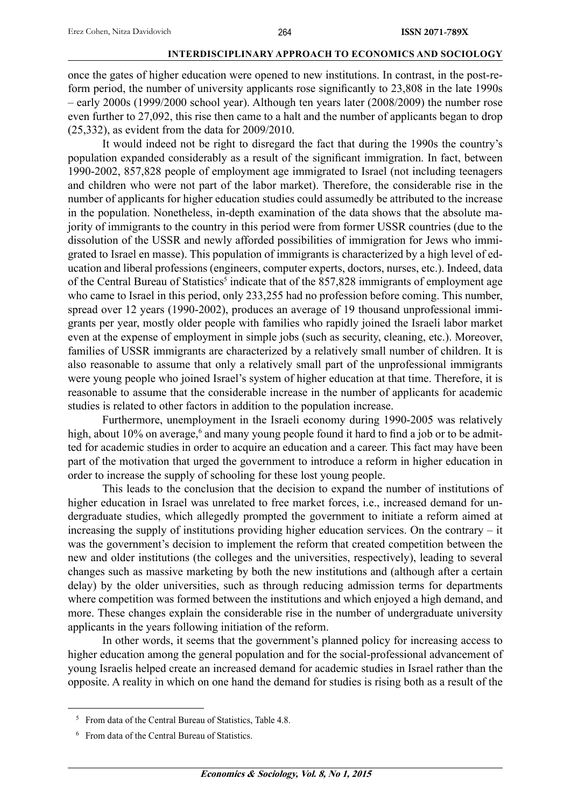once the gates of higher education were opened to new institutions. In contrast, in the post-reform period, the number of university applicants rose significantly to 23,808 in the late 1990s – early 2000s (1999/2000 school year). Although ten years later (2008/2009) the number rose even further to 27,092, this rise then came to a halt and the number of applicants began to drop (25,332), as evident from the data for 2009/2010.

 It would indeed not be right to disregard the fact that during the 1990s the country's population expanded considerably as a result of the significant immigration. In fact, between 1990-2002, 857,828 people of employment age immigrated to Israel (not including teenagers and children who were not part of the labor market). Therefore, the considerable rise in the number of applicants for higher education studies could assumedly be attributed to the increase in the population. Nonetheless, in-depth examination of the data shows that the absolute majority of immigrants to the country in this period were from former USSR countries (due to the dissolution of the USSR and newly afforded possibilities of immigration for Jews who immigrated to Israel en masse). This population of immigrants is characterized by a high level of education and liberal professions (engineers, computer experts, doctors, nurses, etc.). Indeed, data of the Central Bureau of Statistics<sup>5</sup> indicate that of the 857,828 immigrants of employment age who came to Israel in this period, only 233,255 had no profession before coming. This number, spread over 12 years (1990-2002), produces an average of 19 thousand unprofessional immigrants per year, mostly older people with families who rapidly joined the Israeli labor market even at the expense of employment in simple jobs (such as security, cleaning, etc.). Moreover, families of USSR immigrants are characterized by a relatively small number of children. It is also reasonable to assume that only a relatively small part of the unprofessional immigrants were young people who joined Israel's system of higher education at that time. Therefore, it is reasonable to assume that the considerable increase in the number of applicants for academic studies is related to other factors in addition to the population increase.

 Furthermore, unemployment in the Israeli economy during 1990-2005 was relatively high, about 10% on average,<sup>6</sup> and many young people found it hard to find a job or to be admitted for academic studies in order to acquire an education and a career. This fact may have been part of the motivation that urged the government to introduce a reform in higher education in order to increase the supply of schooling for these lost young people.

 This leads to the conclusion that the decision to expand the number of institutions of higher education in Israel was unrelated to free market forces, i.e., increased demand for undergraduate studies, which allegedly prompted the government to initiate a reform aimed at increasing the supply of institutions providing higher education services. On the contrary – it was the government's decision to implement the reform that created competition between the new and older institutions (the colleges and the universities, respectively), leading to several changes such as massive marketing by both the new institutions and (although after a certain delay) by the older universities, such as through reducing admission terms for departments where competition was formed between the institutions and which enjoyed a high demand, and more. These changes explain the considerable rise in the number of undergraduate university applicants in the years following initiation of the reform.

 In other words, it seems that the government's planned policy for increasing access to higher education among the general population and for the social-professional advancement of young Israelis helped create an increased demand for academic studies in Israel rather than the opposite. A reality in which on one hand the demand for studies is rising both as a result of the

<sup>5</sup> From data of the Central Bureau of Statistics, Table 4.8.

<sup>6</sup> From data of the Central Bureau of Statistics.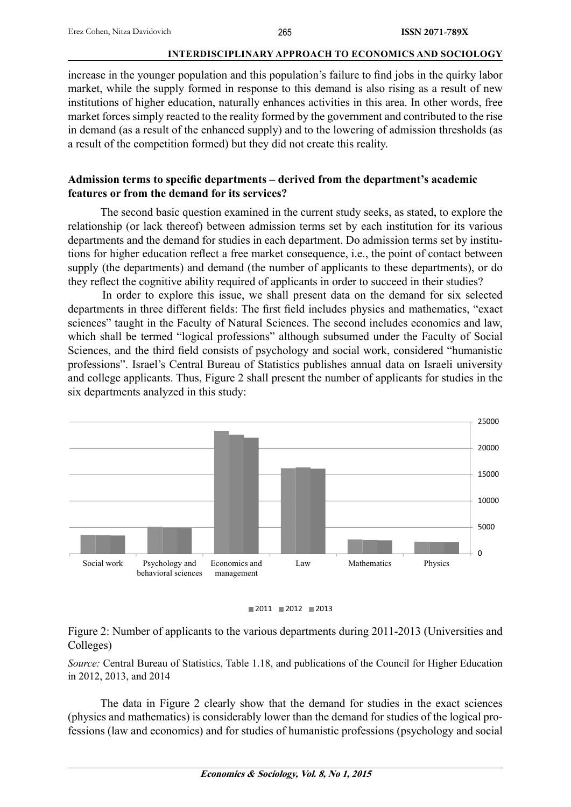increase in the younger population and this population's failure to find jobs in the quirky labor market, while the supply formed in response to this demand is also rising as a result of new institutions of higher education, naturally enhances activities in this area. In other words, free market forces simply reacted to the reality formed by the government and contributed to the rise in demand (as a result of the enhanced supply) and to the lowering of admission thresholds (as a result of the competition formed) but they did not create this reality.

# Admission terms to specific departments – derived from the department's academic **features or from the demand for its services?**

The second basic question examined in the current study seeks, as stated, to explore the relationship (or lack thereof) between admission terms set by each institution for its various departments and the demand for studies in each department. Do admission terms set by institutions for higher education reflect a free market consequence, i.e., the point of contact between supply (the departments) and demand (the number of applicants to these departments), or do they reflect the cognitive ability required of applicants in order to succeed in their studies?

 In order to explore this issue, we shall present data on the demand for six selected departments in three different fields: The first field includes physics and mathematics, "exact sciences" taught in the Faculty of Natural Sciences. The second includes economics and law, which shall be termed "logical professions" although subsumed under the Faculty of Social Sciences, and the third field consists of psychology and social work, considered "humanistic professions". Israel's Central Bureau of Statistics publishes annual data on Israeli university and college applicants. Thus, Figure 2 shall present the number of applicants for studies in the six departments analyzed in this study:





Figure 2: Number of applicants to the various departments during 2011-2013 (Universities and Colleges)

*Source:* Central Bureau of Statistics, Table 1.18, and publications of the Council for Higher Education in 2012, 2013, and 2014

The data in Figure 2 clearly show that the demand for studies in the exact sciences (physics and mathematics) is considerably lower than the demand for studies of the logical professions (law and economics) and for studies of humanistic professions (psychology and social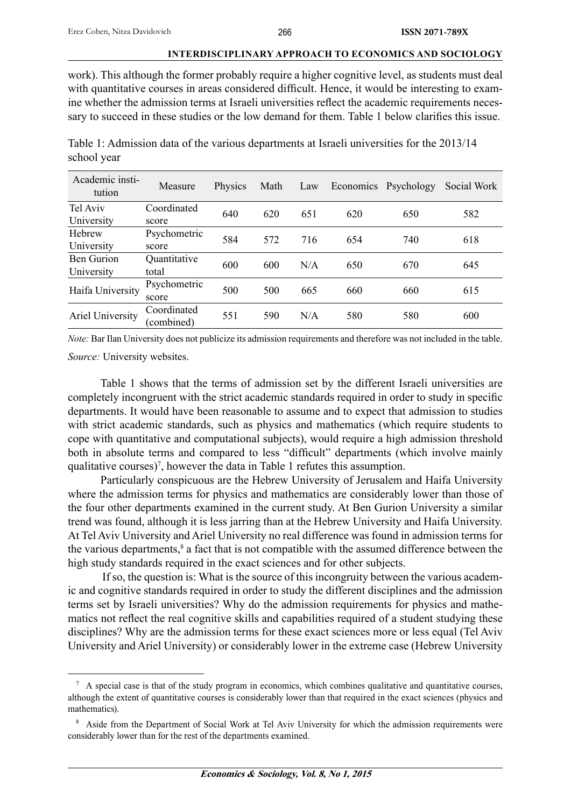work). This although the former probably require a higher cognitive level, as students must deal with quantitative courses in areas considered difficult. Hence, it would be interesting to examine whether the admission terms at Israeli universities reflect the academic requirements necessary to succeed in these studies or the low demand for them. Table 1 below clarifies this issue.

| Table 1: Admission data of the various departments at Israeli universities for the 2013/14 |  |
|--------------------------------------------------------------------------------------------|--|
| school year                                                                                |  |

| Academic insti-<br>tution | Measure      | Physics | Math | Law |     | Economics Psychology | Social Work |
|---------------------------|--------------|---------|------|-----|-----|----------------------|-------------|
| Tel Aviv                  | Coordinated  | 640     | 620  | 651 | 620 | 650                  | 582         |
| University                | score        |         |      |     |     |                      |             |
| Hebrew                    | Psychometric | 584     | 572  | 716 | 654 | 740                  | 618         |
| University                | score        |         |      |     |     |                      |             |
| <b>Ben Gurion</b>         | Quantitative | 600     | 600  | N/A | 650 | 670                  | 645         |
| University                | total        |         |      |     |     |                      |             |
| Haifa University          | Psychometric | 500     | 500  | 665 | 660 | 660                  | 615         |
|                           | score        |         |      |     |     |                      |             |
| Ariel University          | Coordinated  | 551     | 590  | N/A | 580 | 580                  | 600         |
|                           | combined)    |         |      |     |     |                      |             |

*Note:* Bar Ilan University does not publicize its admission requirements and therefore was not included in the table.

*Source:* University websites.

Table 1 shows that the terms of admission set by the different Israeli universities are completely incongruent with the strict academic standards required in order to study in specific departments. It would have been reasonable to assume and to expect that admission to studies with strict academic standards, such as physics and mathematics (which require students to cope with quantitative and computational subjects), would require a high admission threshold both in absolute terms and compared to less "difficult" departments (which involve mainly qualitative courses)<sup>7</sup>, however the data in Table 1 refutes this assumption.

Particularly conspicuous are the Hebrew University of Jerusalem and Haifa University where the admission terms for physics and mathematics are considerably lower than those of the four other departments examined in the current study. At Ben Gurion University a similar trend was found, although it is less jarring than at the Hebrew University and Haifa University. At Tel Aviv University and Ariel University no real difference was found in admission terms for the various departments,<sup>8</sup> a fact that is not compatible with the assumed difference between the high study standards required in the exact sciences and for other subjects.

 If so, the question is: What is the source of this incongruity between the various academic and cognitive standards required in order to study the different disciplines and the admission terms set by Israeli universities? Why do the admission requirements for physics and mathematics not reflect the real cognitive skills and capabilities required of a student studying these disciplines? Why are the admission terms for these exact sciences more or less equal (Tel Aviv University and Ariel University) or considerably lower in the extreme case (Hebrew University

 $<sup>7</sup>$  A special case is that of the study program in economics, which combines qualitative and quantitative courses,</sup> although the extent of quantitative courses is considerably lower than that required in the exact sciences (physics and mathematics).

<sup>&</sup>lt;sup>8</sup> Aside from the Department of Social Work at Tel Aviv University for which the admission requirements were considerably lower than for the rest of the departments examined.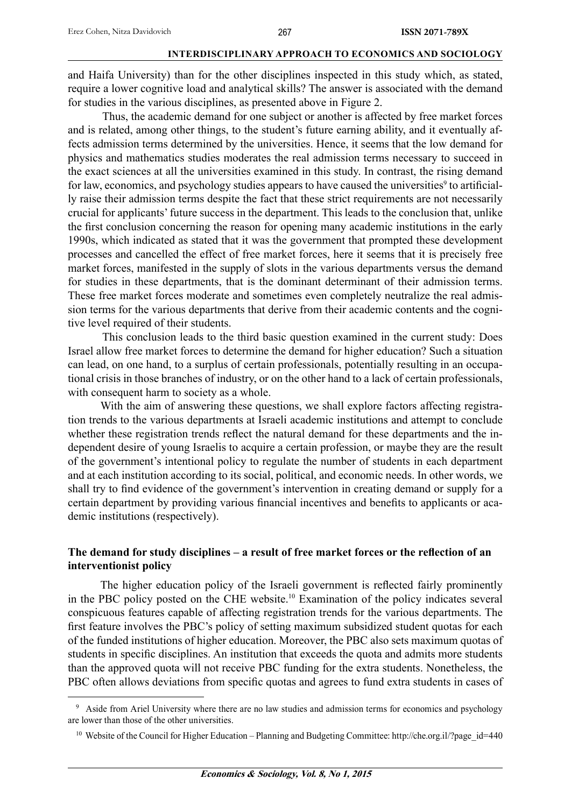and Haifa University) than for the other disciplines inspected in this study which, as stated, require a lower cognitive load and analytical skills? The answer is associated with the demand for studies in the various disciplines, as presented above in Figure 2.

 Thus, the academic demand for one subject or another is affected by free market forces and is related, among other things, to the student's future earning ability, and it eventually affects admission terms determined by the universities. Hence, it seems that the low demand for physics and mathematics studies moderates the real admission terms necessary to succeed in the exact sciences at all the universities examined in this study. In contrast, the rising demand for law, economics, and psychology studies appears to have caused the universities<sup>9</sup> to artificially raise their admission terms despite the fact that these strict requirements are not necessarily crucial for applicants' future success in the department. This leads to the conclusion that, unlike the first conclusion concerning the reason for opening many academic institutions in the early 1990s, which indicated as stated that it was the government that prompted these development processes and cancelled the effect of free market forces, here it seems that it is precisely free market forces, manifested in the supply of slots in the various departments versus the demand for studies in these departments, that is the dominant determinant of their admission terms. These free market forces moderate and sometimes even completely neutralize the real admission terms for the various departments that derive from their academic contents and the cognitive level required of their students.

 This conclusion leads to the third basic question examined in the current study: Does Israel allow free market forces to determine the demand for higher education? Such a situation can lead, on one hand, to a surplus of certain professionals, potentially resulting in an occupational crisis in those branches of industry, or on the other hand to a lack of certain professionals, with consequent harm to society as a whole.

With the aim of answering these questions, we shall explore factors affecting registration trends to the various departments at Israeli academic institutions and attempt to conclude whether these registration trends reflect the natural demand for these departments and the independent desire of young Israelis to acquire a certain profession, or maybe they are the result of the government's intentional policy to regulate the number of students in each department and at each institution according to its social, political, and economic needs. In other words, we shall try to find evidence of the government's intervention in creating demand or supply for a certain department by providing various financial incentives and benefits to applicants or academic institutions (respectively).

# The demand for study disciplines – a result of free market forces or the reflection of an **interventionist policy**

The higher education policy of the Israeli government is reflected fairly prominently in the PBC policy posted on the CHE website.10 Examination of the policy indicates several conspicuous features capable of affecting registration trends for the various departments. The first feature involves the PBC's policy of setting maximum subsidized student quotas for each of the funded institutions of higher education. Moreover, the PBC also sets maximum quotas of students in specific disciplines. An institution that exceeds the quota and admits more students than the approved quota will not receive PBC funding for the extra students. Nonetheless, the PBC often allows deviations from specific quotas and agrees to fund extra students in cases of

<sup>&</sup>lt;sup>9</sup> Aside from Ariel University where there are no law studies and admission terms for economics and psychology are lower than those of the other universities.

<sup>&</sup>lt;sup>10</sup> Website of the Council for Higher Education – Planning and Budgeting Committee: http://che.org.il/?page\_id=440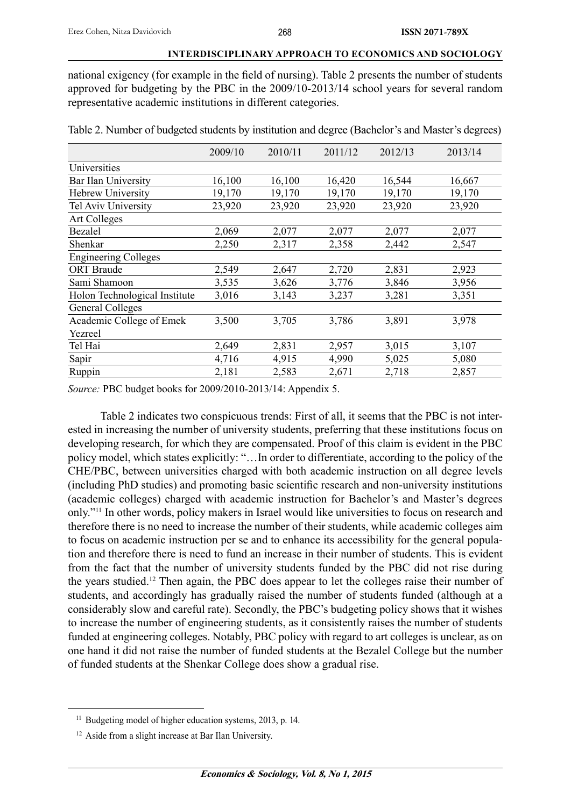national exigency (for example in the field of nursing). Table 2 presents the number of students approved for budgeting by the PBC in the 2009/10-2013/14 school years for several random representative academic institutions in different categories.

| Table 2. Number of budgeted students by institution and degree (Bachelor's and Master's degrees) |  |  |
|--------------------------------------------------------------------------------------------------|--|--|
|--------------------------------------------------------------------------------------------------|--|--|

|                               | 2009/10 | 2010/11 | 2011/12 | 2012/13 | 2013/14 |
|-------------------------------|---------|---------|---------|---------|---------|
| Universities                  |         |         |         |         |         |
| Bar Ilan University           | 16,100  | 16,100  | 16,420  | 16,544  | 16,667  |
| <b>Hebrew University</b>      | 19,170  | 19,170  | 19,170  | 19,170  | 19,170  |
| Tel Aviv University           | 23,920  | 23,920  | 23,920  | 23,920  | 23,920  |
| <b>Art Colleges</b>           |         |         |         |         |         |
| Bezalel                       | 2,069   | 2,077   | 2,077   | 2,077   | 2,077   |
| Shenkar                       | 2,250   | 2,317   | 2,358   | 2,442   | 2,547   |
| <b>Engineering Colleges</b>   |         |         |         |         |         |
| <b>ORT</b> Braude             | 2,549   | 2,647   | 2,720   | 2,831   | 2,923   |
| Sami Shamoon                  | 3,535   | 3,626   | 3,776   | 3,846   | 3,956   |
| Holon Technological Institute | 3,016   | 3,143   | 3,237   | 3,281   | 3,351   |
| General Colleges              |         |         |         |         |         |
| Academic College of Emek      | 3,500   | 3,705   | 3,786   | 3,891   | 3,978   |
| Yezreel                       |         |         |         |         |         |
| Tel Hai                       | 2,649   | 2,831   | 2,957   | 3,015   | 3,107   |
| Sapir                         | 4,716   | 4,915   | 4,990   | 5,025   | 5,080   |
| Ruppin                        | 2,181   | 2,583   | 2,671   | 2,718   | 2,857   |

*Source:* PBC budget books for 2009/2010-2013/14: Appendix 5.

Table 2 indicates two conspicuous trends: First of all, it seems that the PBC is not interested in increasing the number of university students, preferring that these institutions focus on developing research, for which they are compensated. Proof of this claim is evident in the PBC policy model, which states explicitly: "…In order to differentiate, according to the policy of the CHE/PBC, between universities charged with both academic instruction on all degree levels (including PhD studies) and promoting basic scientific research and non-university institutions (academic colleges) charged with academic instruction for Bachelor's and Master's degrees only."11 In other words, policy makers in Israel would like universities to focus on research and therefore there is no need to increase the number of their students, while academic colleges aim to focus on academic instruction per se and to enhance its accessibility for the general population and therefore there is need to fund an increase in their number of students. This is evident from the fact that the number of university students funded by the PBC did not rise during the years studied.12 Then again, the PBC does appear to let the colleges raise their number of students, and accordingly has gradually raised the number of students funded (although at a considerably slow and careful rate). Secondly, the PBC's budgeting policy shows that it wishes to increase the number of engineering students, as it consistently raises the number of students funded at engineering colleges. Notably, PBC policy with regard to art colleges is unclear, as on one hand it did not raise the number of funded students at the Bezalel College but the number of funded students at the Shenkar College does show a gradual rise.

<sup>&</sup>lt;sup>11</sup> Budgeting model of higher education systems, 2013, p. 14.

<sup>&</sup>lt;sup>12</sup> Aside from a slight increase at Bar Ilan University.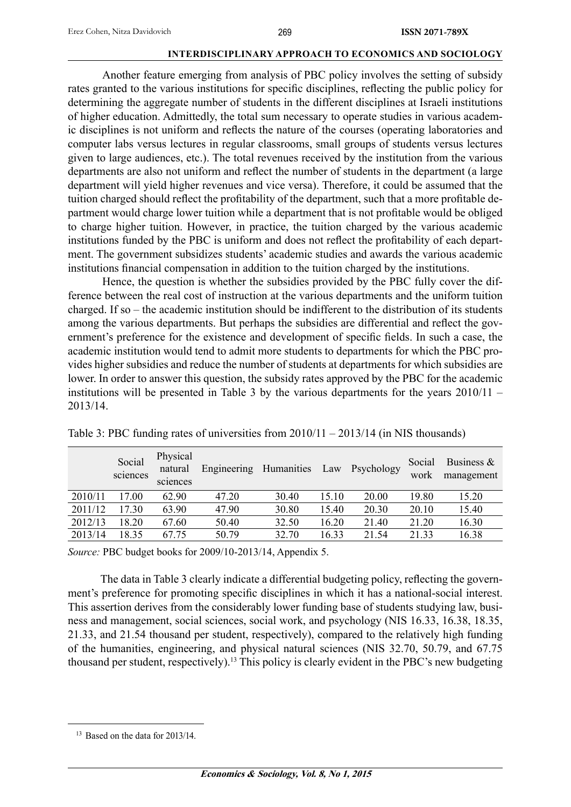Another feature emerging from analysis of PBC policy involves the setting of subsidy rates granted to the various institutions for specific disciplines, reflecting the public policy for determining the aggregate number of students in the different disciplines at Israeli institutions of higher education. Admittedly, the total sum necessary to operate studies in various academic disciplines is not uniform and reflects the nature of the courses (operating laboratories and computer labs versus lectures in regular classrooms, small groups of students versus lectures given to large audiences, etc.). The total revenues received by the institution from the various departments are also not uniform and reflect the number of students in the department (a large department will yield higher revenues and vice versa). Therefore, it could be assumed that the tuition charged should reflect the profitability of the department, such that a more profitable department would charge lower tuition while a department that is not profitable would be obliged to charge higher tuition. However, in practice, the tuition charged by the various academic institutions funded by the PBC is uniform and does not reflect the profitability of each department. The government subsidizes students' academic studies and awards the various academic institutions financial compensation in addition to the tuition charged by the institutions.

 Hence, the question is whether the subsidies provided by the PBC fully cover the difference between the real cost of instruction at the various departments and the uniform tuition charged. If so – the academic institution should be indifferent to the distribution of its students among the various departments. But perhaps the subsidies are differential and reflect the government's preference for the existence and development of specific fields. In such a case, the academic institution would tend to admit more students to departments for which the PBC provides higher subsidies and reduce the number of students at departments for which subsidies are lower. In order to answer this question, the subsidy rates approved by the PBC for the academic institutions will be presented in Table 3 by the various departments for the years 2010/11 – 2013/14.

|         | Social<br>sciences | Physical<br>natural<br>sciences | Engineering | Humanities | Law   | Psychology | Social<br>work | Business $\&$<br>management |
|---------|--------------------|---------------------------------|-------------|------------|-------|------------|----------------|-----------------------------|
| 2010/11 | 17.00              | 62.90                           | 47.20       | 30.40      | 15.10 | 20.00      | 19.80          | 15.20                       |
| 2011/12 | 17.30              | 63.90                           | 47.90       | 30.80      | 15.40 | 20.30      | 20.10          | 15.40                       |
| 2012/13 | 18.20              | 67.60                           | 50.40       | 32.50      | 16.20 | 21.40      | 21.20          | 16.30                       |
| 2013/14 | 18.35              | 67 75                           | 50.79       | 32.70      | 16.33 | 21.54      | 21 33          | 16.38                       |

Table 3: PBC funding rates of universities from 2010/11 – 2013/14 (in NIS thousands)

*Source:* PBC budget books for 2009/10-2013/14, Appendix 5.

The data in Table 3 clearly indicate a differential budgeting policy, reflecting the government's preference for promoting specific disciplines in which it has a national-social interest. This assertion derives from the considerably lower funding base of students studying law, business and management, social sciences, social work, and psychology (NIS 16.33, 16.38, 18.35, 21.33, and 21.54 thousand per student, respectively), compared to the relatively high funding of the humanities, engineering, and physical natural sciences (NIS 32.70, 50.79, and 67.75 thousand per student, respectively).13 This policy is clearly evident in the PBC's new budgeting

<sup>&</sup>lt;sup>13</sup> Based on the data for 2013/14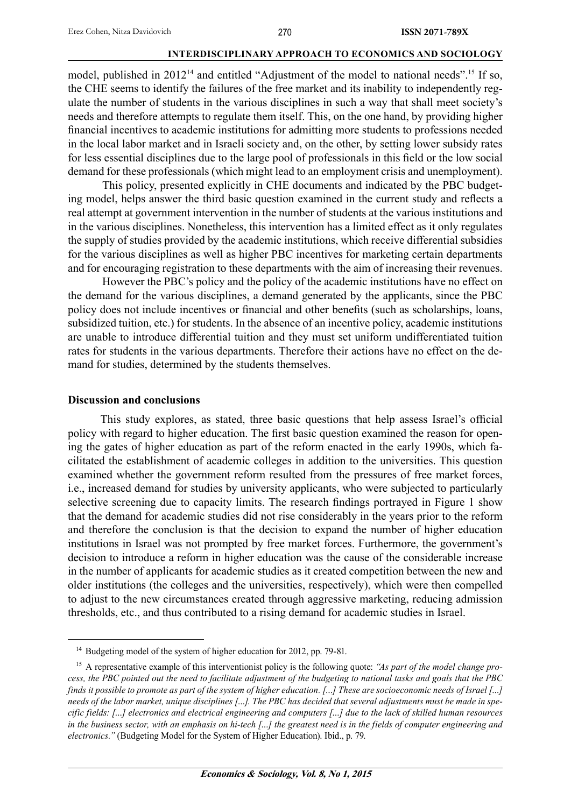model, published in 2012<sup>14</sup> and entitled "Adjustment of the model to national needs".<sup>15</sup> If so, the CHE seems to identify the failures of the free market and its inability to independently regulate the number of students in the various disciplines in such a way that shall meet society's needs and therefore attempts to regulate them itself. This, on the one hand, by providing higher financial incentives to academic institutions for admitting more students to professions needed in the local labor market and in Israeli society and, on the other, by setting lower subsidy rates for less essential disciplines due to the large pool of professionals in this field or the low social demand for these professionals (which might lead to an employment crisis and unemployment).

 This policy, presented explicitly in CHE documents and indicated by the PBC budgeting model, helps answer the third basic question examined in the current study and reflects a real attempt at government intervention in the number of students at the various institutions and in the various disciplines. Nonetheless, this intervention has a limited effect as it only regulates the supply of studies provided by the academic institutions, which receive differential subsidies for the various disciplines as well as higher PBC incentives for marketing certain departments and for encouraging registration to these departments with the aim of increasing their revenues.

 However the PBC's policy and the policy of the academic institutions have no effect on the demand for the various disciplines, a demand generated by the applicants, since the PBC policy does not include incentives or financial and other benefits (such as scholarships, loans, subsidized tuition, etc.) for students. In the absence of an incentive policy, academic institutions are unable to introduce differential tuition and they must set uniform undifferentiated tuition rates for students in the various departments. Therefore their actions have no effect on the demand for studies, determined by the students themselves.

#### **Discussion and conclusions**

This study explores, as stated, three basic questions that help assess Israel's official policy with regard to higher education. The first basic question examined the reason for opening the gates of higher education as part of the reform enacted in the early 1990s, which facilitated the establishment of academic colleges in addition to the universities. This question examined whether the government reform resulted from the pressures of free market forces, i.e., increased demand for studies by university applicants, who were subjected to particularly selective screening due to capacity limits. The research findings portrayed in Figure 1 show that the demand for academic studies did not rise considerably in the years prior to the reform and therefore the conclusion is that the decision to expand the number of higher education institutions in Israel was not prompted by free market forces. Furthermore, the government's decision to introduce a reform in higher education was the cause of the considerable increase in the number of applicants for academic studies as it created competition between the new and older institutions (the colleges and the universities, respectively), which were then compelled to adjust to the new circumstances created through aggressive marketing, reducing admission thresholds, etc., and thus contributed to a rising demand for academic studies in Israel.

<sup>&</sup>lt;sup>14</sup> Budgeting model of the system of higher education for 2012, pp. 79-81.

<sup>15</sup> A representative example of this interventionist policy is the following quote: *"As part of the model change process, the PBC pointed out the need to facilitate adjustment of the budgeting to national tasks and goals that the PBC finds it possible to promote as part of the system of higher education. […] These are socioeconomic needs of Israel […] needs of the labor market, unique disciplines […]. The PBC has decided that several adjustments must be made in specific fields: […] electronics and electrical engineering and computers […] due to the lack of skilled human resources in the business sector, with an emphasis on hi-tech […] the greatest need is in the fields of computer engineering and electronics."* (Budgeting Model for the System of Higher Education). Ibid., p. 79.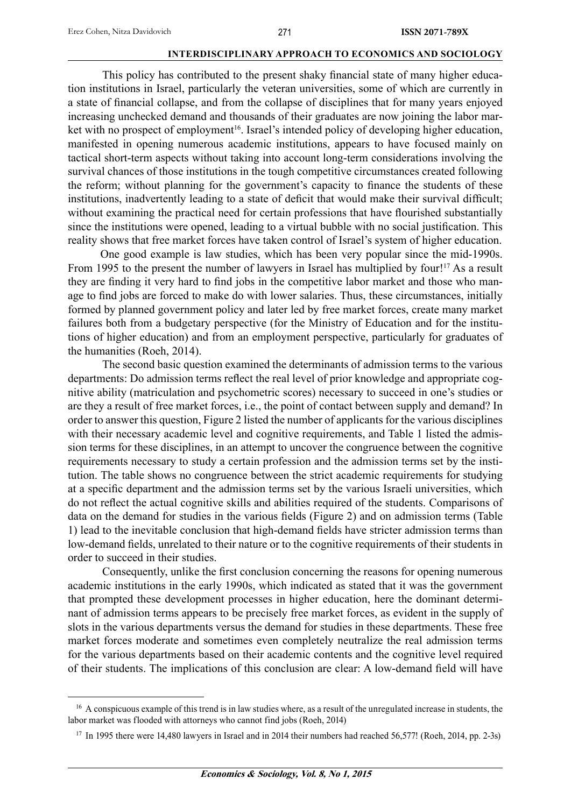This policy has contributed to the present shaky financial state of many higher education institutions in Israel, particularly the veteran universities, some of which are currently in a state of financial collapse, and from the collapse of disciplines that for many years enjoyed increasing unchecked demand and thousands of their graduates are now joining the labor market with no prospect of employment<sup>16</sup>. Israel's intended policy of developing higher education, manifested in opening numerous academic institutions, appears to have focused mainly on tactical short-term aspects without taking into account long-term considerations involving the survival chances of those institutions in the tough competitive circumstances created following the reform; without planning for the government's capacity to finance the students of these institutions, inadvertently leading to a state of deficit that would make their survival difficult; without examining the practical need for certain professions that have flourished substantially since the institutions were opened, leading to a virtual bubble with no social justification. This reality shows that free market forces have taken control of Israel's system of higher education.

One good example is law studies, which has been very popular since the mid-1990s. From 1995 to the present the number of lawyers in Israel has multiplied by four!<sup>17</sup> As a result they are finding it very hard to find jobs in the competitive labor market and those who manage to find jobs are forced to make do with lower salaries. Thus, these circumstances, initially formed by planned government policy and later led by free market forces, create many market failures both from a budgetary perspective (for the Ministry of Education and for the institutions of higher education) and from an employment perspective, particularly for graduates of the humanities (Roeh, 2014).

 The second basic question examined the determinants of admission terms to the various departments: Do admission terms reflect the real level of prior knowledge and appropriate cognitive ability (matriculation and psychometric scores) necessary to succeed in one's studies or are they a result of free market forces, i.e., the point of contact between supply and demand? In order to answer this question, Figure 2 listed the number of applicants for the various disciplines with their necessary academic level and cognitive requirements, and Table 1 listed the admission terms for these disciplines, in an attempt to uncover the congruence between the cognitive requirements necessary to study a certain profession and the admission terms set by the institution. The table shows no congruence between the strict academic requirements for studying at a specific department and the admission terms set by the various Israeli universities, which do not reflect the actual cognitive skills and abilities required of the students. Comparisons of data on the demand for studies in the various fields (Figure 2) and on admission terms (Table 1) lead to the inevitable conclusion that high-demand fields have stricter admission terms than low-demand fields, unrelated to their nature or to the cognitive requirements of their students in order to succeed in their studies.

Consequently, unlike the first conclusion concerning the reasons for opening numerous academic institutions in the early 1990s, which indicated as stated that it was the government that prompted these development processes in higher education, here the dominant determinant of admission terms appears to be precisely free market forces, as evident in the supply of slots in the various departments versus the demand for studies in these departments. These free market forces moderate and sometimes even completely neutralize the real admission terms for the various departments based on their academic contents and the cognitive level required of their students. The implications of this conclusion are clear: A low-demand field will have

<sup>&</sup>lt;sup>16</sup> A conspicuous example of this trend is in law studies where, as a result of the unregulated increase in students, the labor market was flooded with attorneys who cannot find jobs (Roeh, 2014)

<sup>&</sup>lt;sup>17</sup> In 1995 there were 14,480 lawyers in Israel and in 2014 their numbers had reached 56,577! (Roeh, 2014, pp. 2-3s)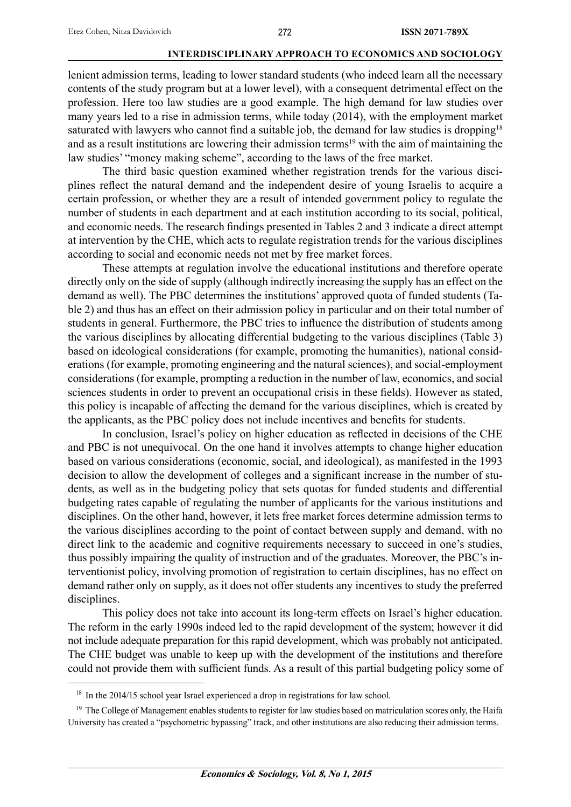lenient admission terms, leading to lower standard students (who indeed learn all the necessary contents of the study program but at a lower level), with a consequent detrimental effect on the profession. Here too law studies are a good example. The high demand for law studies over many years led to a rise in admission terms, while today (2014), with the employment market saturated with lawyers who cannot find a suitable job, the demand for law studies is dropping<sup>18</sup> and as a result institutions are lowering their admission terms<sup>19</sup> with the aim of maintaining the law studies' "money making scheme", according to the laws of the free market.

 The third basic question examined whether registration trends for the various disciplines reflect the natural demand and the independent desire of young Israelis to acquire a certain profession, or whether they are a result of intended government policy to regulate the number of students in each department and at each institution according to its social, political, and economic needs. The research findings presented in Tables 2 and 3 indicate a direct attempt at intervention by the CHE, which acts to regulate registration trends for the various disciplines according to social and economic needs not met by free market forces.

 These attempts at regulation involve the educational institutions and therefore operate directly only on the side of supply (although indirectly increasing the supply has an effect on the demand as well). The PBC determines the institutions' approved quota of funded students (Table 2) and thus has an effect on their admission policy in particular and on their total number of students in general. Furthermore, the PBC tries to influence the distribution of students among the various disciplines by allocating differential budgeting to the various disciplines (Table 3) based on ideological considerations (for example, promoting the humanities), national considerations (for example, promoting engineering and the natural sciences), and social-employment considerations (for example, prompting a reduction in the number of law, economics, and social sciences students in order to prevent an occupational crisis in these fields). However as stated, this policy is incapable of affecting the demand for the various disciplines, which is created by the applicants, as the PBC policy does not include incentives and benefits for students.

In conclusion, Israel's policy on higher education as reflected in decisions of the CHE and PBC is not unequivocal. On the one hand it involves attempts to change higher education based on various considerations (economic, social, and ideological), as manifested in the 1993 decision to allow the development of colleges and a significant increase in the number of students, as well as in the budgeting policy that sets quotas for funded students and differential budgeting rates capable of regulating the number of applicants for the various institutions and disciplines. On the other hand, however, it lets free market forces determine admission terms to the various disciplines according to the point of contact between supply and demand, with no direct link to the academic and cognitive requirements necessary to succeed in one's studies, thus possibly impairing the quality of instruction and of the graduates. Moreover, the PBC's interventionist policy, involving promotion of registration to certain disciplines, has no effect on demand rather only on supply, as it does not offer students any incentives to study the preferred disciplines.

This policy does not take into account its long-term effects on Israel's higher education. The reform in the early 1990s indeed led to the rapid development of the system; however it did not include adequate preparation for this rapid development, which was probably not anticipated. The CHE budget was unable to keep up with the development of the institutions and therefore could not provide them with sufficient funds. As a result of this partial budgeting policy some of

<sup>&</sup>lt;sup>18</sup> In the 2014/15 school year Israel experienced a drop in registrations for law school.

<sup>&</sup>lt;sup>19</sup> The College of Management enables students to register for law studies based on matriculation scores only, the Haifa University has created a "psychometric bypassing" track, and other institutions are also reducing their admission terms.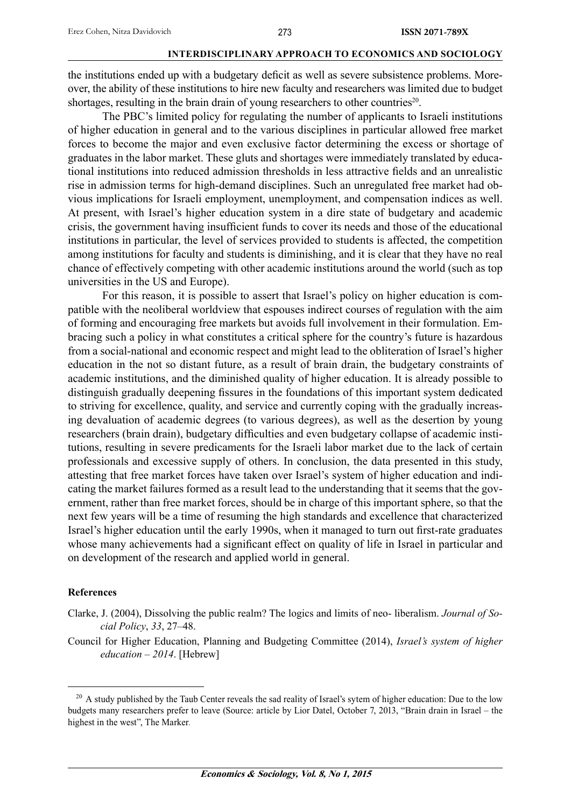the institutions ended up with a budgetary deficit as well as severe subsistence problems. Moreover, the ability of these institutions to hire new faculty and researchers was limited due to budget shortages, resulting in the brain drain of young researchers to other countries<sup>20</sup>.

 The PBC's limited policy for regulating the number of applicants to Israeli institutions of higher education in general and to the various disciplines in particular allowed free market forces to become the major and even exclusive factor determining the excess or shortage of graduates in the labor market. These gluts and shortages were immediately translated by educational institutions into reduced admission thresholds in less attractive fields and an unrealistic rise in admission terms for high-demand disciplines. Such an unregulated free market had obvious implications for Israeli employment, unemployment, and compensation indices as well. At present, with Israel's higher education system in a dire state of budgetary and academic crisis, the government having insufficient funds to cover its needs and those of the educational institutions in particular, the level of services provided to students is affected, the competition among institutions for faculty and students is diminishing, and it is clear that they have no real chance of effectively competing with other academic institutions around the world (such as top universities in the US and Europe).

 For this reason, it is possible to assert that Israel's policy on higher education is compatible with the neoliberal worldview that espouses indirect courses of regulation with the aim of forming and encouraging free markets but avoids full involvement in their formulation. Embracing such a policy in what constitutes a critical sphere for the country's future is hazardous from a social-national and economic respect and might lead to the obliteration of Israel's higher education in the not so distant future, as a result of brain drain, the budgetary constraints of academic institutions, and the diminished quality of higher education. It is already possible to distinguish gradually deepening fissures in the foundations of this important system dedicated to striving for excellence, quality, and service and currently coping with the gradually increasing devaluation of academic degrees (to various degrees), as well as the desertion by young researchers (brain drain), budgetary difficulties and even budgetary collapse of academic institutions, resulting in severe predicaments for the Israeli labor market due to the lack of certain professionals and excessive supply of others. In conclusion, the data presented in this study, attesting that free market forces have taken over Israel's system of higher education and indicating the market failures formed as a result lead to the understanding that it seems that the government, rather than free market forces, should be in charge of this important sphere, so that the next few years will be a time of resuming the high standards and excellence that characterized Israel's higher education until the early 1990s, when it managed to turn out first-rate graduates whose many achievements had a significant effect on quality of life in Israel in particular and on development of the research and applied world in general.

## **References**

- Clarke, J. (2004), Dissolving the public realm? The logics and limits of neo- liberalism. *Journal of Social Policy*, *33*, 27–48.
- Council for Higher Education, Planning and Budgeting Committee (2014), *Israel's system of higher education – 2014*. [Hebrew]

<sup>&</sup>lt;sup>20</sup> A study published by the Taub Center reveals the sad reality of Israel's sytem of higher education: Due to the low budgets many researchers prefer to leave (Source: article by Lior Datel, October 7, 2013, "Brain drain in Israel – the highest in the west", The Marker.